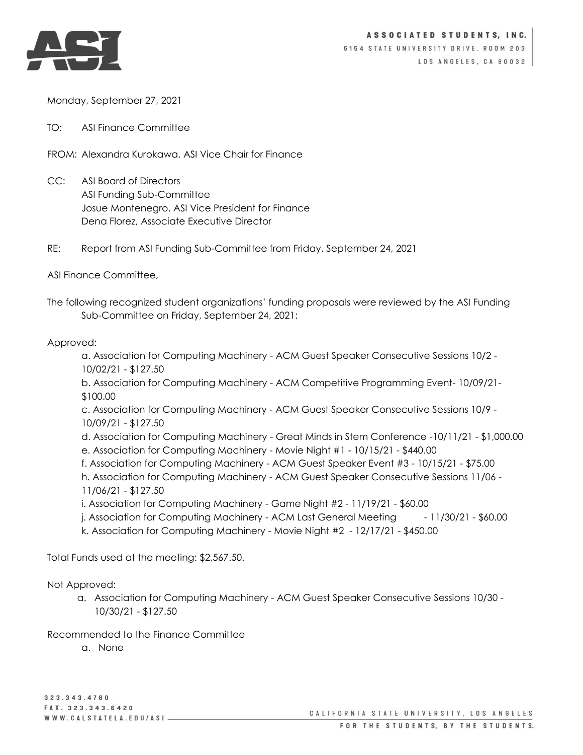

Monday, September 27, 2021

TO: ASI Finance Committee

FROM: Alexandra Kurokawa, ASI Vice Chair for Finance

- CC: ASI Board of Directors ASI Funding Sub-Committee Josue Montenegro, ASI Vice President for Finance Dena Florez, Associate Executive Director
- RE: Report from ASI Funding Sub-Committee from Friday, September 24, 2021

ASI Finance Committee,

The following recognized student organizations' funding proposals were reviewed by the ASI Funding Sub-Committee on Friday, September 24, 2021:

## Approved:

a. Association for Computing Machinery - ACM Guest Speaker Consecutive Sessions 10/2 - 10/02/21 - \$127.50

b. Association for Computing Machinery - ACM Competitive Programming Event- 10/09/21- \$100.00

c. Association for Computing Machinery - ACM Guest Speaker Consecutive Sessions 10/9 - 10/09/21 - \$127.50

d. Association for Computing Machinery - Great Minds in Stem Conference -10/11/21 - \$1,000.00 e. Association for Computing Machinery - Movie Night #1 - 10/15/21 - \$440.00

f. Association for Computing Machinery - ACM Guest Speaker Event #3 - 10/15/21 - \$75.00

h. Association for Computing Machinery - ACM Guest Speaker Consecutive Sessions 11/06 -

- 11/06/21 \$127.50
- i. Association for Computing Machinery Game Night #2 11/19/21 \$60.00
- j. Association for Computing Machinery ACM Last General Meeting 11/30/21 \$60.00
- k. Association for Computing Machinery Movie Night #2 12/17/21 \$450.00

Total Funds used at the meeting: \$2,567.50.

## Not Approved:

a. Association for Computing Machinery - ACM Guest Speaker Consecutive Sessions 10/30 - 10/30/21 - \$127.50

Recommended to the Finance Committee

a. None